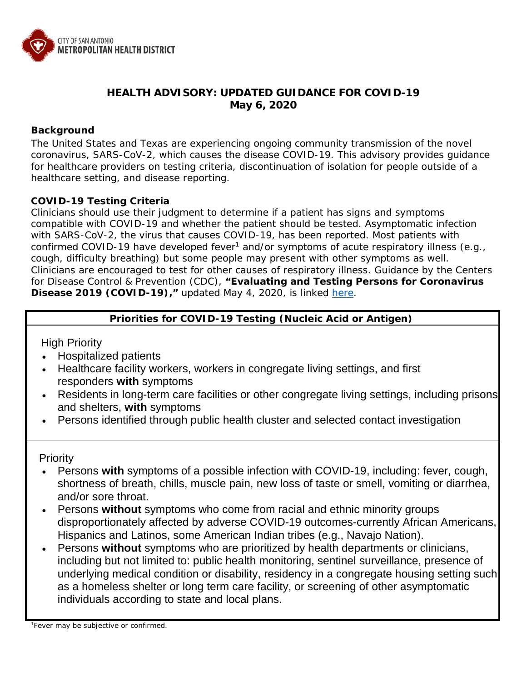

# **HEALTH ADVISORY: UPDATED GUIDANCE FOR COVID-19 May 6, 2020**

## **Background**

The United States and Texas are experiencing ongoing community transmission of the novel coronavirus, SARS-CoV-2, which causes the disease COVID-19. This advisory provides guidance for healthcare providers on testing criteria, discontinuation of isolation for people outside of a healthcare setting, and disease reporting.

## **COVID-19 Testing Criteria**

Clinicians should use their judgment to determine if a patient has signs and symptoms compatible with COVID-19 and whether the patient should be tested. Asymptomatic infection with SARS-CoV-2, the virus that causes COVID-19, has been reported. Most patients with confirmed COVID-19 have developed fever<sup>1</sup> and/or symptoms of acute respiratory illness (e.g., cough, difficulty breathing) but some people may present with other symptoms as well. Clinicians are encouraged to test for other causes of respiratory illness. Guidance by the Centers for Disease Control & Prevention (CDC), **"Evaluating and Testing Persons for Coronavirus Disease 2019 (COVID-19),"** updated May 4, 2020, is linked [here.](https://www.cdc.gov/coronavirus/2019-ncov/hcp/clinical-criteria.html)

## **Priorities for COVID-19 Testing (Nucleic Acid or Antigen)**

High Priority

- Hospitalized patients
- Healthcare facility workers, workers in congregate living settings, and first responders **with** symptoms
- Residents in long-term care facilities or other congregate living settings, including prisons and shelters, **with** symptoms
- Persons identified through public health cluster and selected contact investigation

Priority

- Persons **with** symptoms of a possible infection with COVID-19, including: fever, cough, shortness of breath, chills, muscle pain, new loss of taste or smell, vomiting or diarrhea, and/or sore throat.
- Persons **without** symptoms who come from racial and ethnic minority groups disproportionately affected by adverse COVID-19 outcomes-currently African Americans, Hispanics and Latinos, some American Indian tribes (e.g., Navajo Nation).
- Persons **without** symptoms who are prioritized by health departments or clinicians, including but not limited to: public health monitoring, sentinel surveillance, presence of underlying medical condition or disability, residency in a congregate housing setting such as a homeless shelter or long term care facility, or screening of other asymptomatic individuals according to state and local plans.

<sup>1</sup>Fever may be subjective or confirmed.